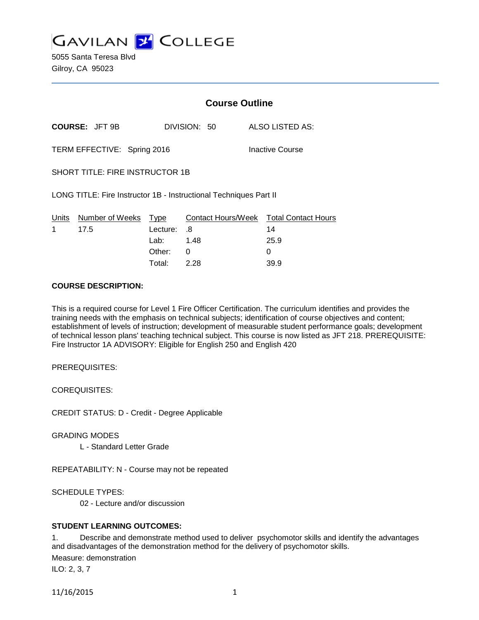

5055 Santa Teresa Blvd Gilroy, CA 95023

|                                                                   |                            | <b>Course Outline</b> |              |                                        |
|-------------------------------------------------------------------|----------------------------|-----------------------|--------------|----------------------------------------|
|                                                                   | <b>COURSE: JFT 9B</b>      |                       | DIVISION: 50 | ALSO LISTED AS:                        |
| TERM EFFECTIVE: Spring 2016                                       |                            |                       |              | Inactive Course                        |
| <b>SHORT TITLE: FIRE INSTRUCTOR 1B</b>                            |                            |                       |              |                                        |
| LONG TITLE: Fire Instructor 1B - Instructional Techniques Part II |                            |                       |              |                                        |
|                                                                   | Units Number of Weeks Type |                       |              | Contact Hours/Week Total Contact Hours |
| 1                                                                 | 17.5                       | Lecture:              | .8           | 14                                     |
|                                                                   |                            | Lab: 1.48             |              | 25.9                                   |
|                                                                   |                            | Other:                | 0            | 0                                      |
|                                                                   |                            | Total:                | 2.28         | 39.9                                   |

### **COURSE DESCRIPTION:**

This is a required course for Level 1 Fire Officer Certification. The curriculum identifies and provides the training needs with the emphasis on technical subjects; identification of course objectives and content; establishment of levels of instruction; development of measurable student performance goals; development of technical lesson plans' teaching technical subject. This course is now listed as JFT 218. PREREQUISITE: Fire Instructor 1A ADVISORY: Eligible for English 250 and English 420

PREREQUISITES:

COREQUISITES:

CREDIT STATUS: D - Credit - Degree Applicable

GRADING MODES

L - Standard Letter Grade

REPEATABILITY: N - Course may not be repeated

SCHEDULE TYPES:

02 - Lecture and/or discussion

#### **STUDENT LEARNING OUTCOMES:**

1. Describe and demonstrate method used to deliver psychomotor skills and identify the advantages and disadvantages of the demonstration method for the delivery of psychomotor skills. Measure: demonstration ILO: 2, 3, 7

11/16/2015 1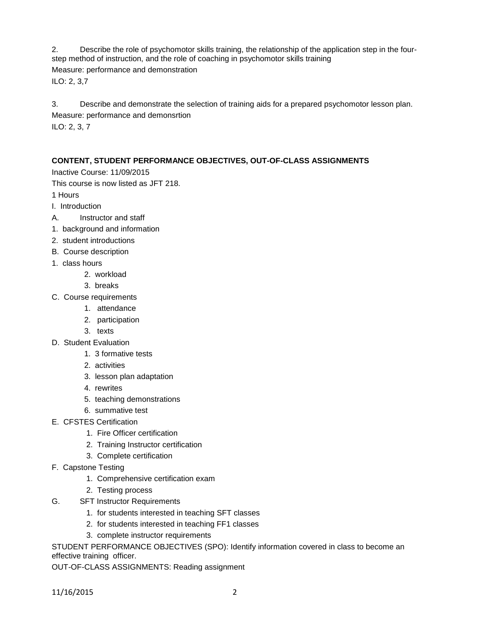2. Describe the role of psychomotor skills training, the relationship of the application step in the fourstep method of instruction, and the role of coaching in psychomotor skills training Measure: performance and demonstration ILO: 2, 3,7

3. Describe and demonstrate the selection of training aids for a prepared psychomotor lesson plan. Measure: performance and demonsrtion ILO: 2, 3, 7

# **CONTENT, STUDENT PERFORMANCE OBJECTIVES, OUT-OF-CLASS ASSIGNMENTS**

Inactive Course: 11/09/2015

This course is now listed as JFT 218.

- 1 Hours
- I. Introduction
- A. Instructor and staff
- 1. background and information
- 2. student introductions
- B. Course description
- 1. class hours
	- 2. workload
	- 3. breaks
- C. Course requirements
	- 1. attendance
	- 2. participation
	- 3. texts
- D. Student Evaluation
	- 1. 3 formative tests
	- 2. activities
	- 3. lesson plan adaptation
	- 4. rewrites
	- 5. teaching demonstrations
	- 6. summative test
- E. CFSTES Certification
	- 1. Fire Officer certification
	- 2. Training Instructor certification
	- 3. Complete certification
- F. Capstone Testing
	- 1. Comprehensive certification exam
	- 2. Testing process
- G. SFT Instructor Requirements
	- 1. for students interested in teaching SFT classes
	- 2. for students interested in teaching FF1 classes
	- 3. complete instructor requirements

STUDENT PERFORMANCE OBJECTIVES (SPO): Identify information covered in class to become an effective training officer.

OUT-OF-CLASS ASSIGNMENTS: Reading assignment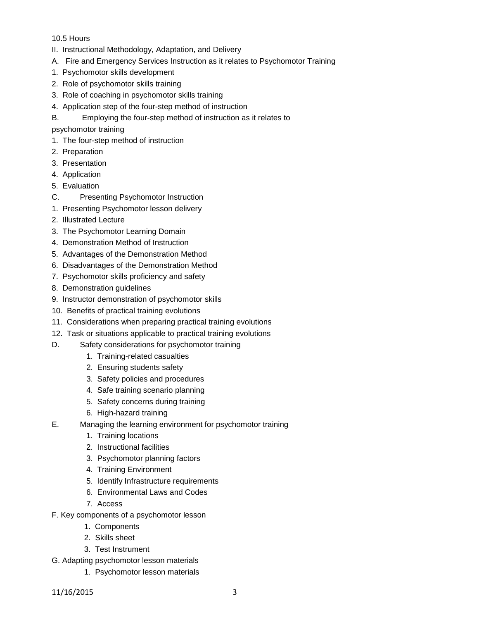## 10.5 Hours

- II. Instructional Methodology, Adaptation, and Delivery
- A. Fire and Emergency Services Instruction as it relates to Psychomotor Training
- 1. Psychomotor skills development
- 2. Role of psychomotor skills training
- 3. Role of coaching in psychomotor skills training
- 4. Application step of the four-step method of instruction
- B. Employing the four-step method of instruction as it relates to

psychomotor training

- 1. The four-step method of instruction
- 2. Preparation
- 3. Presentation
- 4. Application
- 5. Evaluation
- C. Presenting Psychomotor Instruction
- 1. Presenting Psychomotor lesson delivery
- 2. Illustrated Lecture
- 3. The Psychomotor Learning Domain
- 4. Demonstration Method of Instruction
- 5. Advantages of the Demonstration Method
- 6. Disadvantages of the Demonstration Method
- 7. Psychomotor skills proficiency and safety
- 8. Demonstration guidelines
- 9. Instructor demonstration of psychomotor skills
- 10. Benefits of practical training evolutions
- 11. Considerations when preparing practical training evolutions
- 12. Task or situations applicable to practical training evolutions
- D. Safety considerations for psychomotor training
	- 1. Training-related casualties
	- 2. Ensuring students safety
	- 3. Safety policies and procedures
	- 4. Safe training scenario planning
	- 5. Safety concerns during training
	- 6. High-hazard training
- E. Managing the learning environment for psychomotor training
	- 1. Training locations
	- 2. Instructional facilities
	- 3. Psychomotor planning factors
	- 4. Training Environment
	- 5. Identify Infrastructure requirements
	- 6. Environmental Laws and Codes
	- 7. Access
- F. Key components of a psychomotor lesson
	- 1. Components
	- 2. Skills sheet
	- 3. Test Instrument
- G. Adapting psychomotor lesson materials
	- 1. Psychomotor lesson materials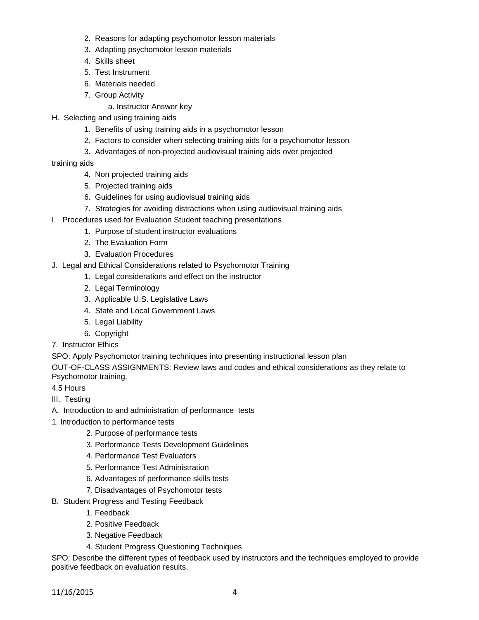- 2. Reasons for adapting psychomotor lesson materials
- 3. Adapting psychomotor lesson materials
- 4. Skills sheet
- 5. Test Instrument
- 6. Materials needed
- 7. Group Activity
	- a. Instructor Answer key
- H. Selecting and using training aids
	- 1. Benefits of using training aids in a psychomotor lesson
	- 2. Factors to consider when selecting training aids for a psychomotor lesson
	- 3. Advantages of non-projected audiovisual training aids over projected
- training aids
	- 4. Non projected training aids
	- 5. Projected training aids
	- 6. Guidelines for using audiovisual training aids
	- 7. Strategies for avoiding distractions when using audiovisual training aids
- I. Procedures used for Evaluation Student teaching presentations
	- 1. Purpose of student instructor evaluations
	- 2. The Evaluation Form
	- 3. Evaluation Procedures
- J. Legal and Ethical Considerations related to Psychomotor Training
	- 1. Legal considerations and effect on the instructor
	- 2. Legal Terminology
	- 3. Applicable U.S. Legislative Laws
	- 4. State and Local Government Laws
	- 5. Legal Liability
	- 6. Copyright
- 7. Instructor Ethics

SPO: Apply Psychomotor training techniques into presenting instructional lesson plan

OUT-OF-CLASS ASSIGNMENTS: Review laws and codes and ethical considerations as they relate to Psychomotor training.

- 4.5 Hours
- III. Testing
- A. Introduction to and administration of performance tests
- 1. Introduction to performance tests
	- 2. Purpose of performance tests
	- 3. Performance Tests Development Guidelines
	- 4. Performance Test Evaluators
	- 5. Performance Test Administration
	- 6. Advantages of performance skills tests
	- 7. Disadvantages of Psychomotor tests
- B. Student Progress and Testing Feedback
	- 1. Feedback
	- 2. Positive Feedback
	- 3. Negative Feedback
	- 4. Student Progress Questioning Techniques

SPO: Describe the different types of feedback used by instructors and the techniques employed to provide positive feedback on evaluation results.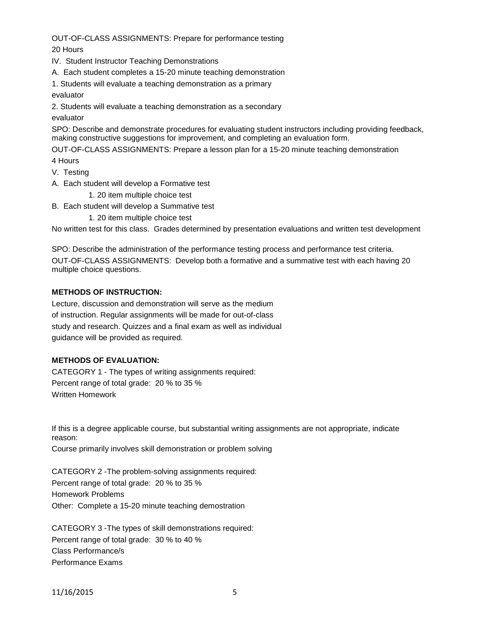OUT-OF-CLASS ASSIGNMENTS: Prepare for performance testing 20 Hours

IV. Student Instructor Teaching Demonstrations

A. Each student completes a 15-20 minute teaching demonstration

1. Students will evaluate a teaching demonstration as a primary

evaluator

2. Students will evaluate a teaching demonstration as a secondary

evaluator

SPO: Describe and demonstrate procedures for evaluating student instructors including providing feedback, making constructive suggestions for improvement, and completing an evaluation form.

OUT-OF-CLASS ASSIGNMENTS: Prepare a lesson plan for a 15-20 minute teaching demonstration

4 Hours

- V. Testing
- A. Each student will develop a Formative test

1. 20 item multiple choice test

B. Each student will develop a Summative test

1. 20 item multiple choice test

No written test for this class. Grades determined by presentation evaluations and written test development

SPO: Describe the administration of the performance testing process and performance test criteria. OUT-OF-CLASS ASSIGNMENTS: Develop both a formative and a summative test with each having 20 multiple choice questions.

## **METHODS OF INSTRUCTION:**

Lecture, discussion and demonstration will serve as the medium of instruction. Regular assignments will be made for out-of-class study and research. Quizzes and a final exam as well as individual guidance will be provided as required.

# **METHODS OF EVALUATION:**

CATEGORY 1 - The types of writing assignments required: Percent range of total grade: 20 % to 35 % Written Homework

If this is a degree applicable course, but substantial writing assignments are not appropriate, indicate reason:

Course primarily involves skill demonstration or problem solving

CATEGORY 2 -The problem-solving assignments required: Percent range of total grade: 20 % to 35 % Homework Problems Other: Complete a 15-20 minute teaching demostration

CATEGORY 3 -The types of skill demonstrations required: Percent range of total grade: 30 % to 40 % Class Performance/s Performance Exams